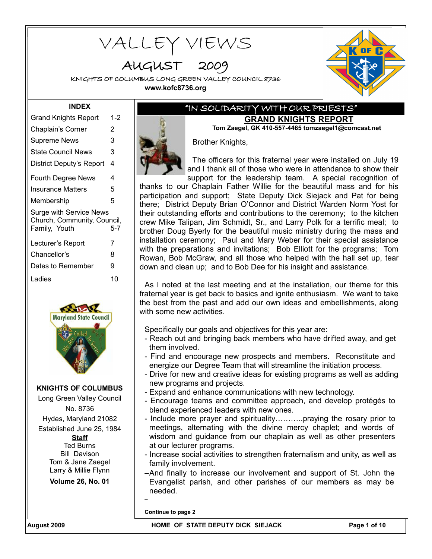VALLEY VIEWS

AUGUST 200

KNIGHTS OF COLUMBUS LONG GREEN VALLEY COUNCIL 8736 **www.kofc8736.org**



### **INDEX**

| <b>Grand Knights Report</b>                                                           | 1-2 |  |  |  |
|---------------------------------------------------------------------------------------|-----|--|--|--|
| Chaplain's Corner                                                                     | 2   |  |  |  |
| Supreme News                                                                          | 3   |  |  |  |
| <b>State Council News</b>                                                             | 3   |  |  |  |
| District Deputy's Report                                                              | 4   |  |  |  |
| <b>Fourth Degree News</b>                                                             | 4   |  |  |  |
| <b>Insurance Matters</b>                                                              | 5   |  |  |  |
| Membership                                                                            | 5   |  |  |  |
| <b>Surge with Service News</b><br>Church, Community, Council,<br>Family, Youth<br>5-7 |     |  |  |  |
| Lecturer's Report                                                                     | 7   |  |  |  |
| Chancellor's                                                                          | 8   |  |  |  |
| Dates to Remember                                                                     | 9   |  |  |  |
| Ladies                                                                                | 10  |  |  |  |



**KNIGHTS OF COLUMBUS**

Long Green Valley Council No. 8736

Hydes, Maryland 21082 Established June 25, 1984

> **Staff** Ted Burns Bill Davison Tom & Jane Zaegel Larry & Millie Flynn

**Volume 26, No. 01**

## "IN SOLIDARITY WITH OUR PRIESTS" **GRAND KNIGHTS REPORT**

**Tom Zaegel, GK 410-557-4465 tomzaegel1@comcast.net** Brother Knights,

The officers for this fraternal year were installed on July 19 and I thank all of those who were in attendance to show their support for the leadership team. A special recognition of

thanks to our Chaplain Father Willie for the beautiful mass and for his participation and support; State Deputy Dick Siejack and Pat for being there; District Deputy Brian O'Connor and District Warden Norm Yost for their outstanding efforts and contributions to the ceremony; to the kitchen crew Mike Talipan, Jim Schmidt, Sr., and Larry Polk for a terrific meal; to brother Doug Byerly for the beautiful music ministry during the mass and installation ceremony; Paul and Mary Weber for their special assistance with the preparations and invitations; Bob Elliott for the programs; Tom Rowan, Bob McGraw, and all those who helped with the hall set up, tear down and clean up; and to Bob Dee for his insight and assistance.

As I noted at the last meeting and at the installation, our theme for this fraternal year is get back to basics and ignite enthusiasm. We want to take the best from the past and add our own ideas and embellishments, along with some new activities.

Specifically our goals and objectives for this year are:

- Reach out and bringing back members who have drifted away, and get them involved.
- Find and encourage new prospects and members. Reconstitute and energize our Degree Team that will streamline the initiation process.
- Drive for new and creative ideas for existing programs as well as adding new programs and projects.
- Expand and enhance communications with new technology.
- Encourage teams and committee approach, and develop protégés to blend experienced leaders with new ones.
- Include more prayer and spirituality………..praying the rosary prior to meetings, alternating with the divine mercy chaplet; and words of wisdom and guidance from our chaplain as well as other presenters at our lecturer programs.
- Increase social activities to strengthen fraternalism and unity, as well as family involvement.
- –And finally to increase our involvement and support of St. John the Evangelist parish, and other parishes of our members as may be needed.

**Continue to page 2**

–

**August 2009 HOME OF STATE DEPUTY DICK SIEJACK Page 1 of 10**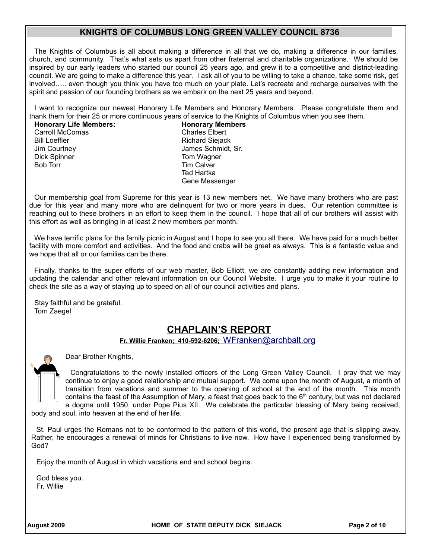The Knights of Columbus is all about making a difference in all that we do, making a difference in our families, church, and community. That's what sets us apart from other fraternal and charitable organizations. We should be inspired by our early leaders who started our council 25 years ago, and grew it to a competitive and district-leading council. We are going to make a difference this year. I ask all of you to be willing to take a chance, take some risk, get involved….. even though you think you have too much on your plate. Let's recreate and recharge ourselves with the spirit and passion of our founding brothers as we embark on the next 25 years and beyond.

I want to recognize our newest Honorary Life Members and Honorary Members. Please congratulate them and thank them for their 25 or more continuous years of service to the Knights of Columbus when you see them.

#### **Honorary Life Members: Honorary Members**

Dick Spinner Tom Wagner Bob Torr **Tim Calver** 

Carroll McComas Charles Elbert Bill Loeffler **Richard Siejack** Richard Siejack Jim Courtney James Schmidt, Sr. Ted Hartka Gene Messenger

Our membership goal from Supreme for this year is 13 new members net. We have many brothers who are past due for this year and many more who are delinquent for two or more years in dues. Our retention committee is reaching out to these brothers in an effort to keep them in the council. I hope that all of our brothers will assist with this effort as well as bringing in at least 2 new members per month.

We have terrific plans for the family picnic in August and I hope to see you all there. We have paid for a much better facility with more comfort and activities. And the food and crabs will be great as always. This is a fantastic value and we hope that all or our families can be there.

Finally, thanks to the super efforts of our web master, Bob Elliott, we are constantly adding new information and updating the calendar and other relevant information on our Council Website. I urge you to make it your routine to check the site as a way of staying up to speed on all of our council activities and plans.

Stay faithful and be grateful. Tom Zaegel

## **CHAPLAIN'S REPORT**

**Fr. Willie Franken; 410-592-6206;** [WFranken@archbalt.org](mailto:WFranken@archbalt.org)

Dear Brother Knights,

Congratulations to the newly installed officers of the Long Green Valley Council. I pray that we may continue to enjoy a good relationship and mutual support. We come upon the month of August, a month of transition from vacations and summer to the opening of school at the end of the month. This month contains the feast of the Assumption of Mary, a feast that goes back to the  $6<sup>th</sup>$  century, but was not declared a dogma until 1950, under Pope Pius XII. We celebrate the particular blessing of Mary being received,

body and soul, into heaven at the end of her life.

St. Paul urges the Romans not to be conformed to the pattern of this world, the present age that is slipping away. Rather, he encourages a renewal of minds for Christians to live now. How have I experienced being transformed by God?

Enjoy the month of August in which vacations end and school begins.

God bless you. Fr. Willie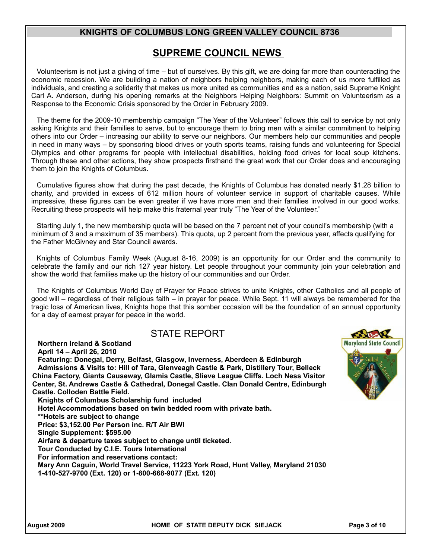## **SUPREME COUNCIL NEWS**

Volunteerism is not just a giving of time – but of ourselves. By this gift, we are doing far more than counteracting the economic recession. We are building a nation of neighbors helping neighbors, making each of us more fulfilled as individuals, and creating a solidarity that makes us more united as communities and as a nation, said Supreme Knight Carl A. Anderson, during his opening remarks at the Neighbors Helping Neighbors: Summit on Volunteerism as a Response to the Economic Crisis sponsored by the Order in February 2009.

The theme for the 2009-10 membership campaign "The Year of the Volunteer" follows this call to service by not only asking Knights and their families to serve, but to encourage them to bring men with a similar commitment to helping others into our Order – increasing our ability to serve our neighbors. Our members help our communities and people in need in many ways – by sponsoring blood drives or youth sports teams, raising funds and volunteering for Special Olympics and other programs for people with intellectual disabilities, holding food drives for local soup kitchens. Through these and other actions, they show prospects firsthand the great work that our Order does and encouraging them to join the Knights of Columbus.

Cumulative figures show that during the past decade, the Knights of Columbus has donated nearly \$1.28 billion to charity, and provided in excess of 612 million hours of volunteer service in support of charitable causes. While impressive, these figures can be even greater if we have more men and their families involved in our good works. Recruiting these prospects will help make this fraternal year truly "The Year of the Volunteer."

Starting July 1, the new membership quota will be based on the 7 percent net of your council's membership (with a minimum of 3 and a maximum of 35 members). This quota, up 2 percent from the previous year, affects qualifying for the Father McGivney and Star Council awards.

Knights of Columbus Family Week (August 8-16, 2009) is an opportunity for our Order and the community to celebrate the family and our rich 127 year history. Let people throughout your community join your celebration and show the world that families make up the history of our communities and our Order.

The Knights of Columbus World Day of Prayer for Peace strives to unite Knights, other Catholics and all people of good will – regardless of their religious faith – in prayer for peace. While Sept. 11 will always be remembered for the tragic loss of American lives, Knights hope that this somber occasion will be the foundation of an annual opportunity for a day of earnest prayer for peace in the world.

## STATE REPORT

#### **Northern Ireland & Scotland**

**April 14 – April 26, 2010 Featuring: Donegal, Derry, Belfast, Glasgow, Inverness, Aberdeen & Edinburgh Admissions & Visits to: Hill of Tara, Glenveagh Castle & Park, Distillery Tour, Belleck China Factory, Giants Causeway, Glamis Castle, Slieve League Cliffs. Loch Ness Visitor Center, St. Andrews Castle & Cathedral, Donegal Castle. Clan Donald Centre, Edinburgh Castle. Colloden Battle Field. Knights of Columbus Scholarship fund included Hotel Accommodations based on twin bedded room with private bath. \*\*Hotels are subject to change Price: \$3,152.00 Per Person inc. R/T Air BWI Single Supplement: \$595.00 Airfare & departure taxes subject to change until ticketed. Tour Conducted by C.I.E. Tours International For information and reservations contact: Mary Ann Caguin, World Travel Service, 11223 York Road, Hunt Valley, Maryland 21030** 

**1-410-527-9700 (Ext. 120) or 1-800-668-9077 (Ext. 120)**

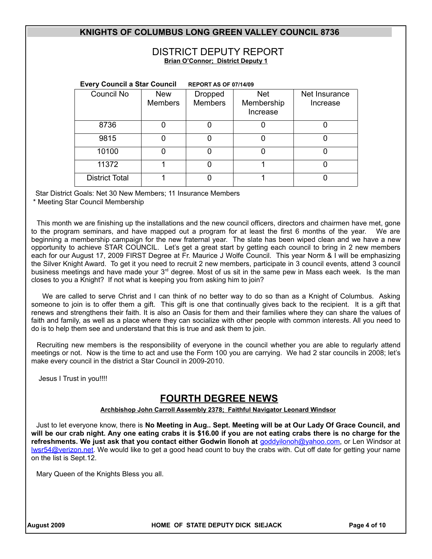### DISTRICT DEPUTY REPORT **Brian O'Connor; District Deputy 1**

|                       | <b>Every Council a Star Council</b> |                                  | <b>REPORT AS OF 07/14/09</b>         |                           |
|-----------------------|-------------------------------------|----------------------------------|--------------------------------------|---------------------------|
| Council No            | <b>New</b><br><b>Members</b>        | <b>Dropped</b><br><b>Members</b> | <b>Net</b><br>Membership<br>Increase | Net Insurance<br>Increase |
| 8736                  |                                     |                                  | O                                    | 0                         |
| 9815                  | 0                                   |                                  | 0                                    | 0                         |
| 10100                 |                                     |                                  | 0                                    | 0                         |
| 11372                 |                                     |                                  |                                      | 0                         |
| <b>District Total</b> |                                     |                                  |                                      | 0                         |

Star District Goals: Net 30 New Members; 11 Insurance Members

\* Meeting Star Council Membership

This month we are finishing up the installations and the new council officers, directors and chairmen have met, gone to the program seminars, and have mapped out a program for at least the first 6 months of the year. We are beginning a membership campaign for the new fraternal year. The slate has been wiped clean and we have a new opportunity to achieve STAR COUNCIL. Let's get a great start by getting each council to bring in 2 new members each for our August 17, 2009 FIRST Degree at Fr. Maurice J Wolfe Council. This year Norm & I will be emphasizing the Silver Knight Award. To get it you need to recruit 2 new members, participate in 3 council events, attend 3 council business meetings and have made your  $3<sup>rd</sup>$  degree. Most of us sit in the same pew in Mass each week. Is the man closes to you a Knight? If not what is keeping you from asking him to join?

We are called to serve Christ and I can think of no better way to do so than as a Knight of Columbus. Asking someone to join is to offer them a gift. This gift is one that continually gives back to the recipient. It is a gift that renews and strengthens their faith. It is also an Oasis for them and their families where they can share the values of faith and family, as well as a place where they can socialize with other people with common interests. All you need to do is to help them see and understand that this is true and ask them to join.

Recruiting new members is the responsibility of everyone in the council whether you are able to regularly attend meetings or not. Now is the time to act and use the Form 100 you are carrying. We had 2 star councils in 2008; let's make every council in the district a Star Council in 2009-2010.

Jesus I Trust in you!!!!

## **FOURTH DEGREE NEWS**

 **Archbishop John Carroll Assembly 2378; Faithful Navigator Leonard Windsor**

Just to let everyone know, there is **No Meeting in Aug.. Sept. Meeting will be at Our Lady Of Grace Council, and will be our crab night. Any one eating crabs it is \$16.00 if you are not eating crabs there is no charge for the refreshments. We just ask that you contact either Godwin Ilonoh at** goddyilonoh@yahoo.com, or Len Windsor at lwsr54@verizon.net. We would like to get a good head count to buy the crabs with. Cut off date for getting your name on the list is Sept.12.

Mary Queen of the Knights Bless you all.

**August 2009 HOME OF STATE DEPUTY DICK SIEJACK Page 4 of 10**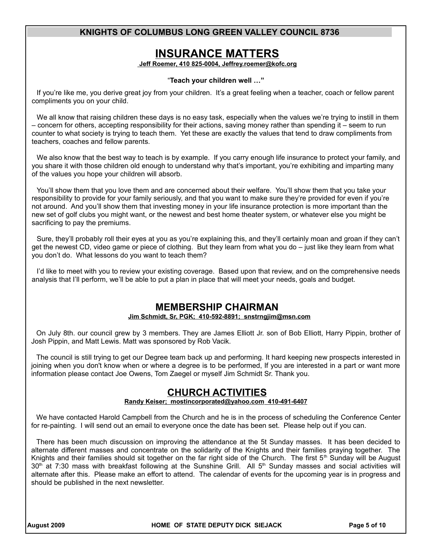## **INSURANCE MATTERS**

 **Jeff Roemer , 410 825-0004, Jeffrey.roemer@kofc.org**

#### "**Teach your children well …"**

If you're like me, you derive great joy from your children. It's a great feeling when a teacher, coach or fellow parent compliments you on your child.

We all know that raising children these days is no easy task, especially when the values we're trying to instill in them – concern for others, accepting responsibility for their actions, saving money rather than spending it – seem to run counter to what society is trying to teach them. Yet these are exactly the values that tend to draw compliments from teachers, coaches and fellow parents.

We also know that the best way to teach is by example. If you carry enough life insurance to protect your family, and you share it with those children old enough to understand why that's important, you're exhibiting and imparting many of the values you hope your children will absorb.

You'll show them that you love them and are concerned about their welfare. You'll show them that you take your responsibility to provide for your family seriously, and that you want to make sure they're provided for even if you're not around. And you'll show them that investing money in your life insurance protection is more important than the new set of golf clubs you might want, or the newest and best home theater system, or whatever else you might be sacrificing to pay the premiums.

Sure, they'll probably roll their eyes at you as you're explaining this, and they'll certainly moan and groan if they can't get the newest CD, video game or piece of clothing. But they learn from what you do – just like they learn from what you don't do. What lessons do you want to teach them?

I'd like to meet with you to review your existing coverage. Based upon that review, and on the comprehensive needs analysis that I'll perform, we'll be able to put a plan in place that will meet your needs, goals and budget.

## **MEMBERSHIP CHAIRMAN**

**Jim Schmidt, Sr, PGK; 410-592-8891; snstrngjim@msn.com**

On July 8th. our council grew by 3 members. They are James Elliott Jr. son of Bob Elliott, Harry Pippin, brother of Josh Pippin, and Matt Lewis. Matt was sponsored by Rob Vacik.

The council is still trying to get our Degree team back up and performing. It hard keeping new prospects interested in joining when you don't know when or where a degree is to be performed, If you are interested in a part or want more information please contact Joe Owens, Tom Zaegel or myself Jim Schmidt Sr. Thank you.

## **CHURCH ACTIVITIES**

#### **Randy Keiser; [mostincorporated@yahoo.com](mailto:mostincorporated@yahoo.com) 410-491-6407**

We have contacted Harold Campbell from the Church and he is in the process of scheduling the Conference Center for re-painting. I will send out an email to everyone once the date has been set. Please help out if you can.

There has been much discussion on improving the attendance at the 5t Sunday masses. It has been decided to alternate different masses and concentrate on the solidarity of the Knights and their families praying together. The Knights and their families should sit together on the far right side of the Church. The first  $5<sup>th</sup>$  Sunday will be August 30<sup>th</sup> at 7:30 mass with breakfast following at the Sunshine Grill. All 5<sup>th</sup> Sunday masses and social activities will alternate after this. Please make an effort to attend. The calendar of events for the upcoming year is in progress and should be published in the next newsletter.

**August 2009 HOME OF STATE DEPUTY DICK SIEJACK Page 5 of 10**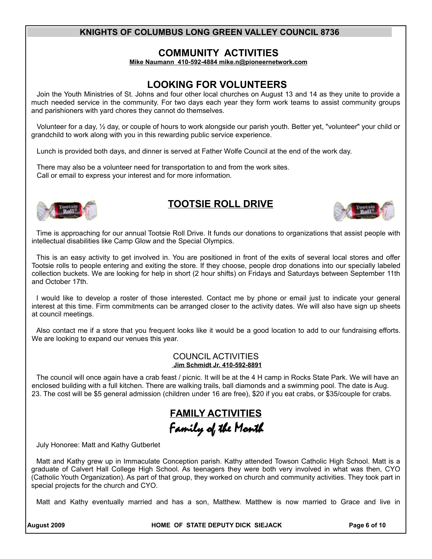## **COMMUNITY ACTIVITIES**

 **Mike Naumann 410-592-4884 mike.n@pioneernetwork.com**

## **LOOKING FOR VOLUNTEERS**

Join the Youth Ministries of St. Johns and four other local churches on August 13 and 14 as they unite to provide a much needed service in the community. For two days each year they form work teams to assist community groups and parishioners with yard chores they cannot do themselves.

Volunteer for a day, ½ day, or couple of hours to work alongside our parish youth. Better yet, "volunteer" your child or grandchild to work along with you in this rewarding public service experience.

Lunch is provided both days, and dinner is served at Father Wolfe Council at the end of the work day.

There may also be a volunteer need for transportation to and from the work sites. Call or email to express your interest and for more information.



## **TOOTSIE ROLL DRIVE**



Time is approaching for our annual Tootsie Roll Drive. It funds our donations to organizations that assist people with intellectual disabilities like Camp Glow and the Special Olympics.

This is an easy activity to get involved in. You are positioned in front of the exits of several local stores and offer Tootsie rolls to people entering and exiting the store. If they choose, people drop donations into our specially labeled collection buckets. We are looking for help in short (2 hour shifts) on Fridays and Saturdays between September 11th and October 17th.

I would like to develop a roster of those interested. Contact me by phone or email just to indicate your general interest at this time. Firm commitments can be arranged closer to the activity dates. We will also have sign up sheets at council meetings.

Also contact me if a store that you frequent looks like it would be a good location to add to our fundraising efforts. We are looking to expand our venues this year.

#### COUNCIL ACTIVITIES  **Jim Schmidt Jr. 410-592-8891**

The council will once again have a crab feast / picnic. It will be at the 4 H camp in Rocks State Park. We will have an enclosed building with a full kitchen. There are walking trails, ball diamonds and a swimming pool. The date is Aug. 23. The cost will be \$5 general admission (children under 16 are free), \$20 if you eat crabs, or \$35/couple for crabs.

# **FAMILY ACTIVITIES** Family of the Month

July Honoree: Matt and Kathy Gutberlet

Matt and Kathy grew up in Immaculate Conception parish. Kathy attended Towson Catholic High School. Matt is a graduate of Calvert Hall College High School. As teenagers they were both very involved in what was then, CYO (Catholic Youth Organization). As part of that group, they worked on church and community activities. They took part in special projects for the church and CYO.

Matt and Kathy eventually married and has a son, Matthew. Matthew is now married to Grace and live in

**August 2009 HOME OF STATE DEPUTY DICK SIEJACK Page 6 of 10**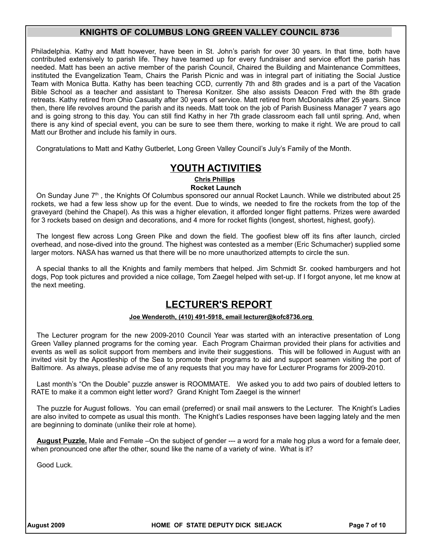Philadelphia. Kathy and Matt however, have been in St. John's parish for over 30 years. In that time, both have contributed extensively to parish life. They have teamed up for every fundraiser and service effort the parish has needed. Matt has been an active member of the parish Council, Chaired the Building and Maintenance Committees, instituted the Evangelization Team, Chairs the Parish Picnic and was in integral part of initiating the Social Justice Team with Monica Butta. Kathy has been teaching CCD, currently 7th and 8th grades and is a part of the Vacation Bible School as a teacher and assistant to Theresa Konitzer. She also assists Deacon Fred with the 8th grade retreats. Kathy retired from Ohio Casualty after 30 years of service. Matt retired from McDonalds after 25 years. Since then, there life revolves around the parish and its needs. Matt took on the job of Parish Business Manager 7 years ago and is going strong to this day. You can still find Kathy in her 7th grade classroom each fall until spring. And, when there is any kind of special event, you can be sure to see them there, working to make it right. We are proud to call Matt our Brother and include his family in ours.

Congratulations to Matt and Kathy Gutberlet, Long Green Valley Council's July's Family of the Month.

## **YOUTH ACTIVITIES**

**Chris Phillips**

**Rocket Launch**

On Sunday June 7<sup>th</sup>, the Knights Of Columbus sponsored our annual Rocket Launch. While we distributed about 25 rockets, we had a few less show up for the event. Due to winds, we needed to fire the rockets from the top of the graveyard (behind the Chapel). As this was a higher elevation, it afforded longer flight patterns. Prizes were awarded for 3 rockets based on design and decorations, and 4 more for rocket flights (longest, shortest, highest, goofy).

The longest flew across Long Green Pike and down the field. The goofiest blew off its fins after launch, circled overhead, and nose-dived into the ground. The highest was contested as a member (Eric Schumacher) supplied some larger motors. NASA has warned us that there will be no more unauthorized attempts to circle the sun.

A special thanks to all the Knights and family members that helped. Jim Schmidt Sr. cooked hamburgers and hot dogs, Pop took pictures and provided a nice collage, Tom Zaegel helped with set-up. If I forgot anyone, let me know at the next meeting.

## **LECTURER'S REPORT**

#### **Joe Wenderoth, (410) 491-5918, email lecturer@kofc8736.org**

The Lecturer program for the new 2009-2010 Council Year was started with an interactive presentation of Long Green Valley planned programs for the coming year. Each Program Chairman provided their plans for activities and events as well as solicit support from members and invite their suggestions. This will be followed in August with an invited visit by the Apostleship of the Sea to promote their programs to aid and support seamen visiting the port of Baltimore. As always, please advise me of any requests that you may have for Lecturer Programs for 2009-2010.

Last month's "On the Double" puzzle answer is ROOMMATE. We asked you to add two pairs of doubled letters to RATE to make it a common eight letter word? Grand Knight Tom Zaegel is the winner!

The puzzle for August follows. You can email (preferred) or snail mail answers to the Lecturer. The Knight's Ladies are also invited to compete as usual this month. The Knight's Ladies responses have been lagging lately and the men are beginning to dominate (unlike their role at home).

**August Puzzle.** Male and Female –On the subject of gender --- a word for a male hog plus a word for a female deer, when pronounced one after the other, sound like the name of a variety of wine. What is it?

Good Luck.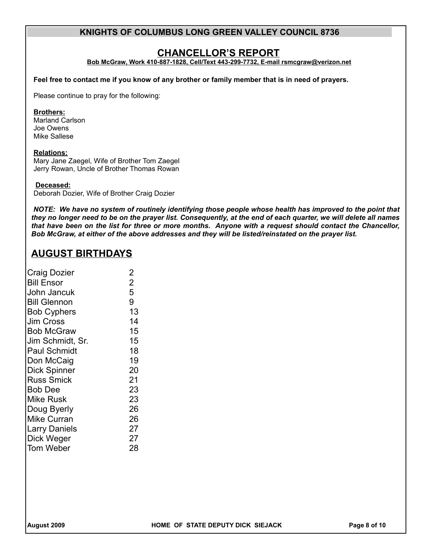## **CHANCELLOR'S REPORT**

**Bob McGraw, Work 410-887-1828, Cell/Text 443-299-7732, E-mail rsmcgraw@verizon.net**

**Feel free to contact me if you know of any brother or family member that is in need of prayers.** 

Please continue to pray for the following:

#### **Brothers:**

Marland Carlson Joe Owens Mike Sallese

#### **Relations:**

Mary Jane Zaegel, Wife of Brother Tom Zaegel Jerry Rowan, Uncle of Brother Thomas Rowan

#### **Deceased:**

Deborah Dozier, Wife of Brother Craig Dozier

*NOTE: We have no system of routinely identifying those people whose health has improved to the point that they no longer need to be on the prayer list. Consequently, at the end of each quarter, we will delete all names that have been on the list for three or more months. Anyone with a request should contact the Chancellor, Bob McGraw, at either of the above addresses and they will be listed/reinstated on the prayer list.*

## **AUGUST BIRTHDAYS**

| <b>Craig Dozier</b>  | 2              |
|----------------------|----------------|
| <b>Bill Ensor</b>    | $\overline{2}$ |
| John Jancuk          | 5              |
| <b>Bill Glennon</b>  | 9              |
| <b>Bob Cyphers</b>   | 13             |
| Jim Cross            | 14             |
| Bob McGraw           | 15             |
| Jim Schmidt, Sr.     | 15             |
| <b>Paul Schmidt</b>  | 18             |
| Don McCaig           | 19             |
| <b>Dick Spinner</b>  | 20             |
| <b>Russ Smick</b>    | 21             |
| <b>Bob Dee</b>       | 23             |
| Mike Rusk            | 23             |
| Doug Byerly          | 26             |
| Mike Curran          | 26             |
| <b>Larry Daniels</b> | 27             |
| Dick Weger           | 27             |
| Tom Weber            | 28             |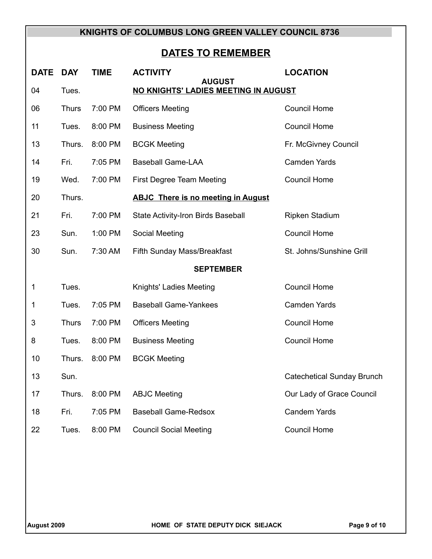# **DATES TO REMEMBER**

| <b>DATE</b>                                                          | <b>DAY</b>   | <b>TIME</b> | <b>ACTIVITY</b>                           | <b>LOCATION</b>                   |  |  |
|----------------------------------------------------------------------|--------------|-------------|-------------------------------------------|-----------------------------------|--|--|
| <b>AUGUST</b><br>NO KNIGHTS' LADIES MEETING IN AUGUST<br>04<br>Tues. |              |             |                                           |                                   |  |  |
| 06                                                                   | <b>Thurs</b> | 7:00 PM     | <b>Officers Meeting</b>                   | <b>Council Home</b>               |  |  |
| 11                                                                   | Tues.        | 8:00 PM     | <b>Business Meeting</b>                   | <b>Council Home</b>               |  |  |
| 13                                                                   | Thurs.       | 8:00 PM     | <b>BCGK Meeting</b>                       | Fr. McGivney Council              |  |  |
| 14                                                                   | Fri.         | 7:05 PM     | <b>Baseball Game-LAA</b>                  | Camden Yards                      |  |  |
| 19                                                                   | Wed.         | 7:00 PM     | First Degree Team Meeting                 | <b>Council Home</b>               |  |  |
| 20                                                                   | Thurs.       |             | <b>ABJC There is no meeting in August</b> |                                   |  |  |
| 21                                                                   | Fri.         | 7:00 PM     | State Activity-Iron Birds Baseball        | <b>Ripken Stadium</b>             |  |  |
| 23                                                                   | Sun.         | 1:00 PM     | Social Meeting                            | <b>Council Home</b>               |  |  |
| 30                                                                   | Sun.         | 7:30 AM     | Fifth Sunday Mass/Breakfast               | St. Johns/Sunshine Grill          |  |  |
| <b>SEPTEMBER</b>                                                     |              |             |                                           |                                   |  |  |
| 1                                                                    | Tues.        |             | Knights' Ladies Meeting                   | <b>Council Home</b>               |  |  |
| 1                                                                    | Tues.        | 7:05 PM     | <b>Baseball Game-Yankees</b>              | <b>Camden Yards</b>               |  |  |
| 3                                                                    | <b>Thurs</b> | 7:00 PM     | <b>Officers Meeting</b>                   | <b>Council Home</b>               |  |  |
| 8                                                                    | Tues.        | 8:00 PM     | <b>Business Meeting</b>                   | <b>Council Home</b>               |  |  |
| 10                                                                   | Thurs.       | 8:00 PM     | <b>BCGK Meeting</b>                       |                                   |  |  |
| 13                                                                   | Sun.         |             |                                           | <b>Catechetical Sunday Brunch</b> |  |  |
| 17                                                                   | Thurs.       | 8:00 PM     | <b>ABJC Meeting</b>                       | Our Lady of Grace Council         |  |  |
| 18                                                                   | Fri.         | 7:05 PM     | <b>Baseball Game-Redsox</b>               | <b>Candem Yards</b>               |  |  |
| 22                                                                   | Tues.        | 8:00 PM     | <b>Council Social Meeting</b>             | <b>Council Home</b>               |  |  |